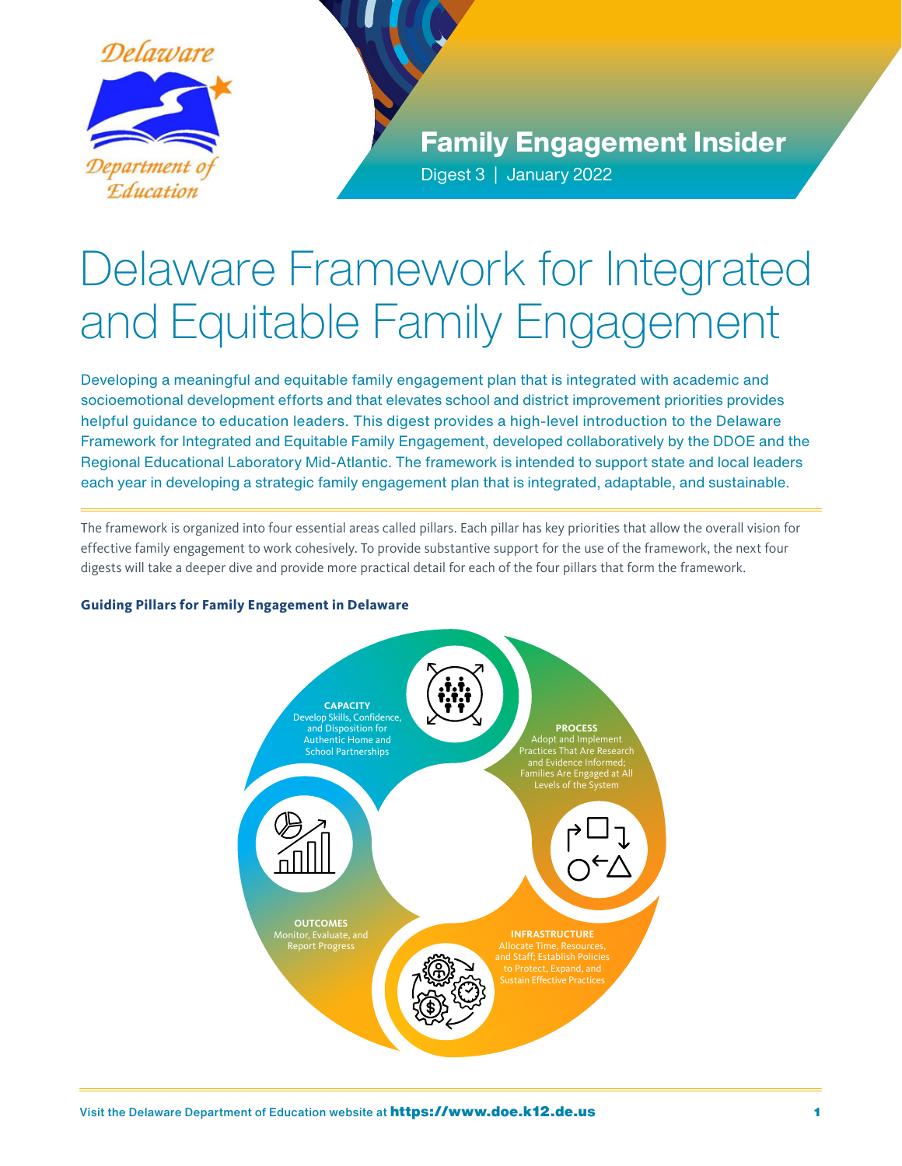

Family Engagement Insider Digest 3 | January 2022

# Delaware Framework for Integrated and Equitable Family Engagement

Developing a meaningful and equitable family engagement plan that is integrated with academic and socioemotional development efforts and that elevates school and district improvement priorities provides helpful guidance to education leaders. This digest provides a high-level introduction to the Delaware Framework for Integrated and Equitable Family Engagement, developed collaboratively by the DDOE and the Regional Educational Laboratory Mid-Atlantic. The framework is intended to support state and local leaders each year in developing a strategic family engagement plan that is integrated, adaptable, and sustainable.

The framework is organized into four essential areas called pillars. Each pillar has key priorities that allow the overall vision for effective family engagement to work cohesively. To provide substantive support for the use of the framework, the next four digests will take a deeper dive and provide more practical detail for each of the four pillars that form the framework.

# **Guiding Pillars for Family Engagement in Delaware**

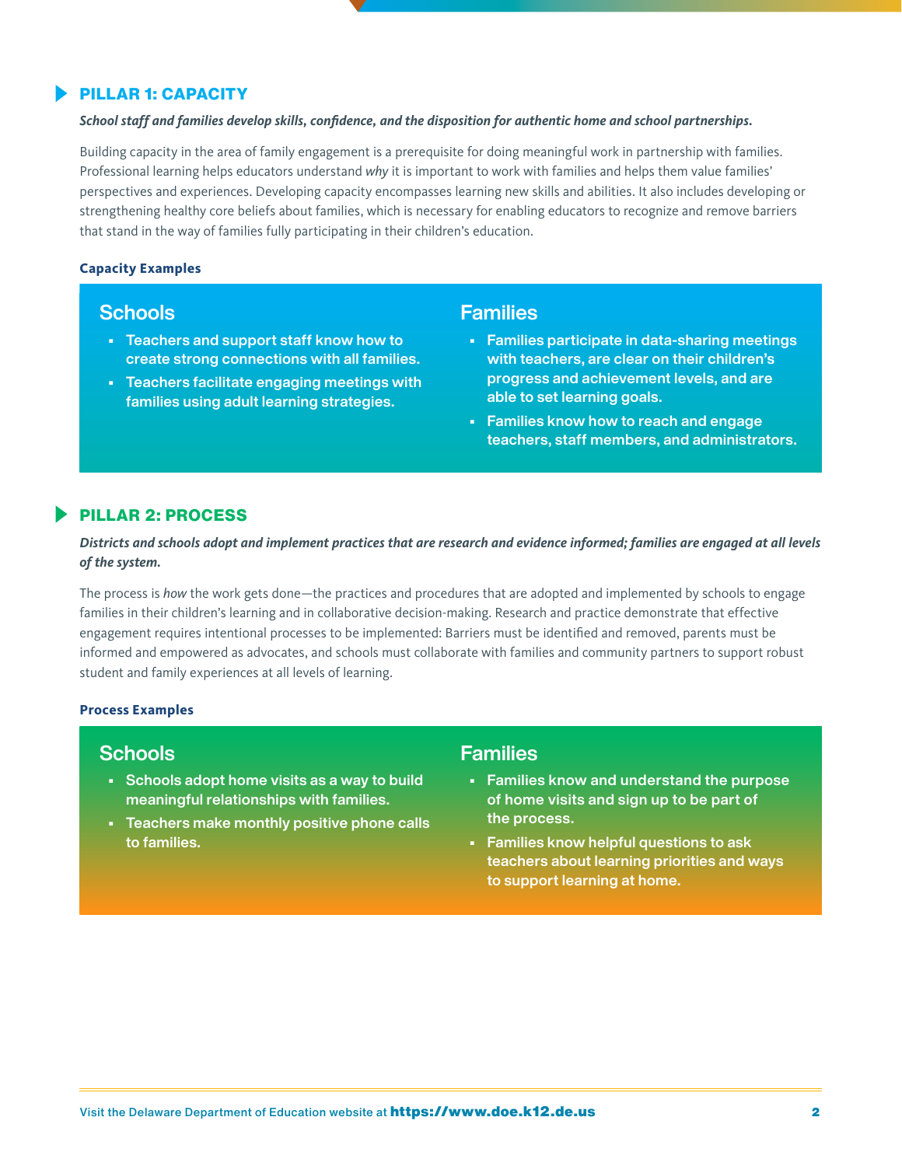# **PILLAR 1: CAPACITY**

#### *School staff and families develop skills, confidence, and the disposition for authentic home and school partnerships.*

Building capacity in the area of family engagement is a prerequisite for doing meaningful work in partnership with families. Professional learning helps educators understand *why* it is important to work with families and helps them value families' perspectives and experiences. Developing capacity encompasses learning new skills and abilities. It also includes developing or strengthening healthy core beliefs about families, which is necessary for enabling educators to recognize and remove barriers that stand in the way of families fully participating in their children's education.

#### **Capacity Examples**

# **Schools**

- Teachers and support staff know how to create strong connections with all families.
- Teachers facilitate engaging meetings with families using adult learning strategies.

# Families

- Families participate in data-sharing meetings with teachers, are clear on their children's progress and achievement levels, and are able to set learning goals.
- Families know how to reach and engage teachers, staff members, and administrators.

### **PILLAR 2: PROCESS**

# *Districts and schools adopt and implement practices that are research and evidence informed; families are engaged at all levels of the system.*

The process is *how* the work gets done—the practices and procedures that are adopted and implemented by schools to engage families in their children's learning and in collaborative decision-making. Research and practice demonstrate that effective engagement requires intentional processes to be implemented: Barriers must be identified and removed, parents must be informed and empowered as advocates, and schools must collaborate with families and community partners to support robust student and family experiences at all levels of learning.

#### **Process Examples**

# **Schools**

- Schools adopt home visits as a way to build meaningful relationships with families.
- Teachers make monthly positive phone calls to families.

# **Families**

- Families know and understand the purpose of home visits and sign up to be part of the process.
- Families know helpful questions to ask teachers about learning priorities and ways to support learning at home.